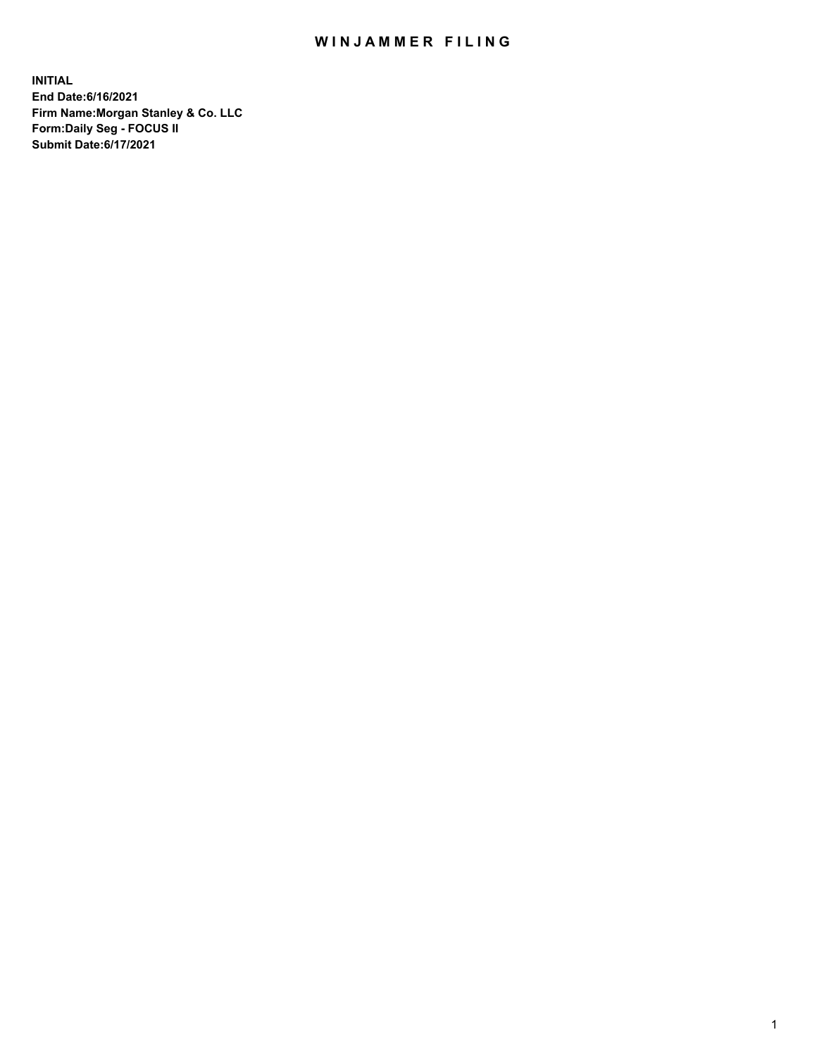# WIN JAMMER FILING

**INITIAL End Date:6/16/2021 Firm Name:Morgan Stanley & Co. LLC Form:Daily Seg - FOCUS II Submit Date:6/17/2021**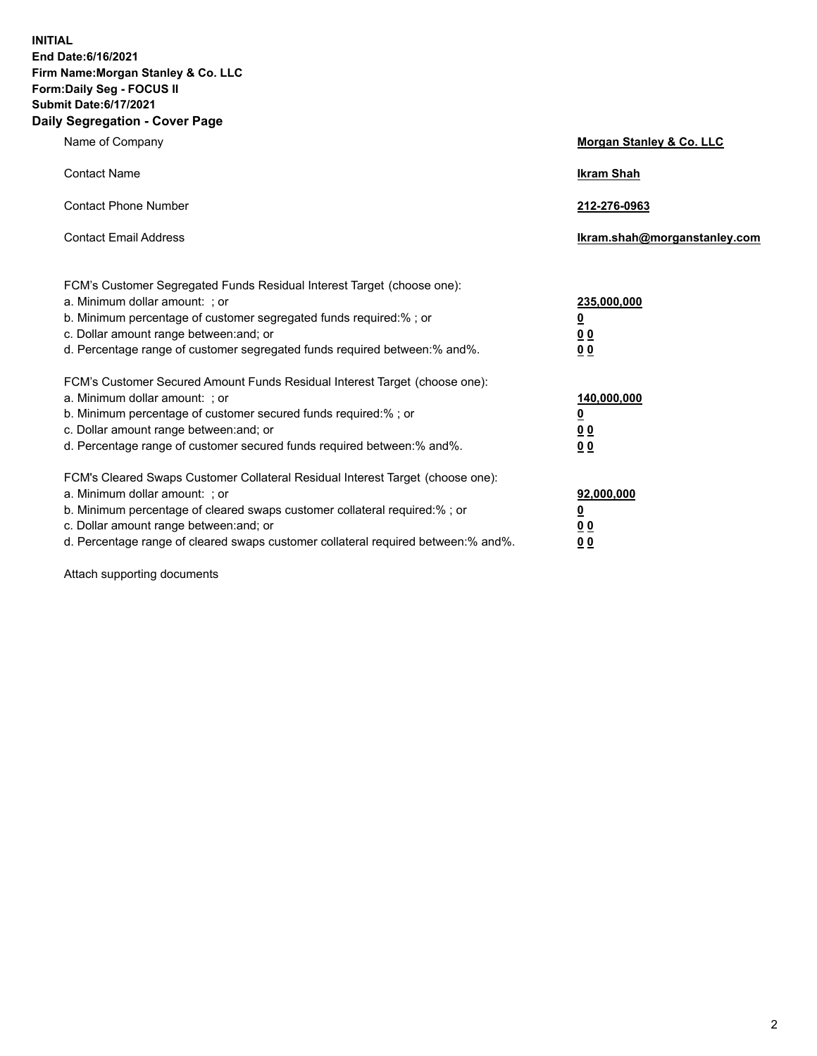**INITIAL End Date:6/16/2021 Firm Name:Morgan Stanley & Co. LLC Form:Daily Seg - FOCUS II Submit Date:6/17/2021 Daily Segregation - Cover Page**

| Name of Company                                                                                                                                                                                                                                                                                                                | <b>Morgan Stanley &amp; Co. LLC</b>                    |
|--------------------------------------------------------------------------------------------------------------------------------------------------------------------------------------------------------------------------------------------------------------------------------------------------------------------------------|--------------------------------------------------------|
| <b>Contact Name</b>                                                                                                                                                                                                                                                                                                            | <b>Ikram Shah</b>                                      |
| <b>Contact Phone Number</b>                                                                                                                                                                                                                                                                                                    | 212-276-0963                                           |
| <b>Contact Email Address</b>                                                                                                                                                                                                                                                                                                   | Ikram.shah@morganstanley.com                           |
| FCM's Customer Segregated Funds Residual Interest Target (choose one):<br>a. Minimum dollar amount: : or<br>b. Minimum percentage of customer segregated funds required:%; or<br>c. Dollar amount range between: and; or<br>d. Percentage range of customer segregated funds required between:% and%.                          | 235,000,000<br><u>0</u><br><u>00</u><br><u>00</u>      |
| FCM's Customer Secured Amount Funds Residual Interest Target (choose one):<br>a. Minimum dollar amount: ; or<br>b. Minimum percentage of customer secured funds required:%; or<br>c. Dollar amount range between: and; or<br>d. Percentage range of customer secured funds required between:% and%.                            | 140,000,000<br><u>0</u><br><u>00</u><br>0 <sub>0</sub> |
| FCM's Cleared Swaps Customer Collateral Residual Interest Target (choose one):<br>a. Minimum dollar amount: ; or<br>b. Minimum percentage of cleared swaps customer collateral required:% ; or<br>c. Dollar amount range between: and; or<br>d. Percentage range of cleared swaps customer collateral required between:% and%. | 92,000,000<br><u>0</u><br><u>00</u><br>00              |

Attach supporting documents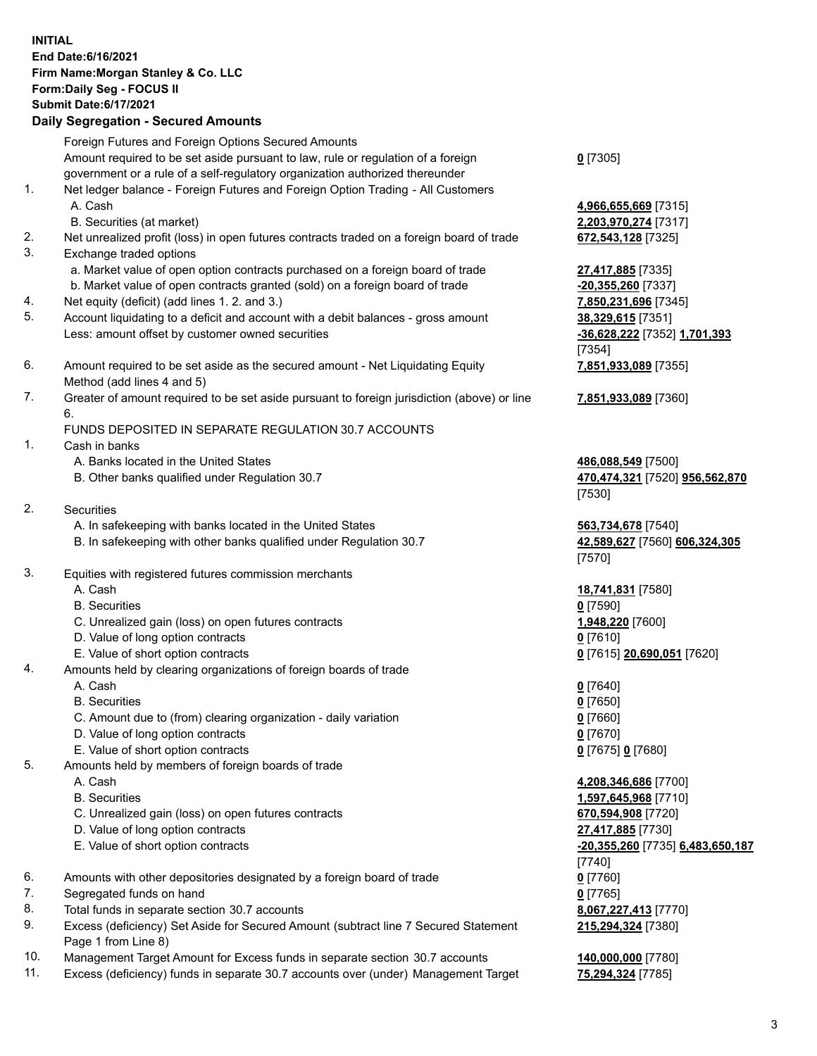# **INITIAL End Date:6/16/2021 Firm Name:Morgan Stanley & Co. LLC Form:Daily Seg - FOCUS II Submit Date:6/17/2021**

### **Daily Segregation - Secured Amounts**

Foreign Futures and Foreign Options Secured Amounts Amount required to be set aside pursuant to law, rule or regulation of a foreign government or a rule of a self-regulatory organization authorized thereunder 1. Net ledger balance - Foreign Futures and Foreign Option Trading - All Customers

- A. Cash **4,966,655,669** [7315]
	- B. Securities (at market) **2,203,970,274** [7317]
- 2. Net unrealized profit (loss) in open futures contracts traded on a foreign board of trade **672,543,128** [7325]
- 3. Exchange traded options
	- a. Market value of open option contracts purchased on a foreign board of trade **27,417,885** [7335]
	- b. Market value of open contracts granted (sold) on a foreign board of trade **-20,355,260** [7337]
- 4. Net equity (deficit) (add lines 1. 2. and 3.) **7,850,231,696** [7345]
- 5. Account liquidating to a deficit and account with a debit balances gross amount **38,329,615** [7351] Less: amount offset by customer owned securities **-36,628,222** [7352] **1,701,393**
- 6. Amount required to be set aside as the secured amount Net Liquidating Equity Method (add lines 4 and 5)
- 7. Greater of amount required to be set aside pursuant to foreign jurisdiction (above) or line 6.

#### FUNDS DEPOSITED IN SEPARATE REGULATION 30.7 ACCOUNTS

- 1. Cash in banks
	- A. Banks located in the United States **486,088,549** [7500]
	- B. Other banks qualified under Regulation 30.7 **470,474,321** [7520] **956,562,870**
- 2. Securities
	- A. In safekeeping with banks located in the United States **563,734,678** [7540]
	- B. In safekeeping with other banks qualified under Regulation 30.7 **42,589,627** [7560] **606,324,305**
- 3. Equities with registered futures commission merchants
	-
	- B. Securities **0** [7590]
	- C. Unrealized gain (loss) on open futures contracts **1,948,220** [7600]
	- D. Value of long option contracts **0** [7610]
	- E. Value of short option contracts **0** [7615] **20,690,051** [7620]
- 4. Amounts held by clearing organizations of foreign boards of trade
	- A. Cash **0** [7640]
	- B. Securities **0** [7650]
	- C. Amount due to (from) clearing organization daily variation **0** [7660]
	- D. Value of long option contracts **0** [7670]
	- E. Value of short option contracts **0** [7675] **0** [7680]
- 5. Amounts held by members of foreign boards of trade
	-
	-
	- C. Unrealized gain (loss) on open futures contracts **670,594,908** [7720]
	- D. Value of long option contracts **27,417,885** [7730]
	- E. Value of short option contracts **-20,355,260** [7735] **6,483,650,187**
- 6. Amounts with other depositories designated by a foreign board of trade **0** [7760]
- 7. Segregated funds on hand **0** [7765]
- 8. Total funds in separate section 30.7 accounts **8,067,227,413** [7770]
- 9. Excess (deficiency) Set Aside for Secured Amount (subtract line 7 Secured Statement Page 1 from Line 8)
- 10. Management Target Amount for Excess funds in separate section 30.7 accounts **140,000,000** [7780]
- 11. Excess (deficiency) funds in separate 30.7 accounts over (under) Management Target **75,294,324** [7785]

### **0** [7305]

[7354] **7,851,933,089** [7355]

#### **7,851,933,089** [7360]

[7530]

[7570]

A. Cash **18,741,831** [7580]

 A. Cash **4,208,346,686** [7700] B. Securities **1,597,645,968** [7710] [7740] **215,294,324** [7380]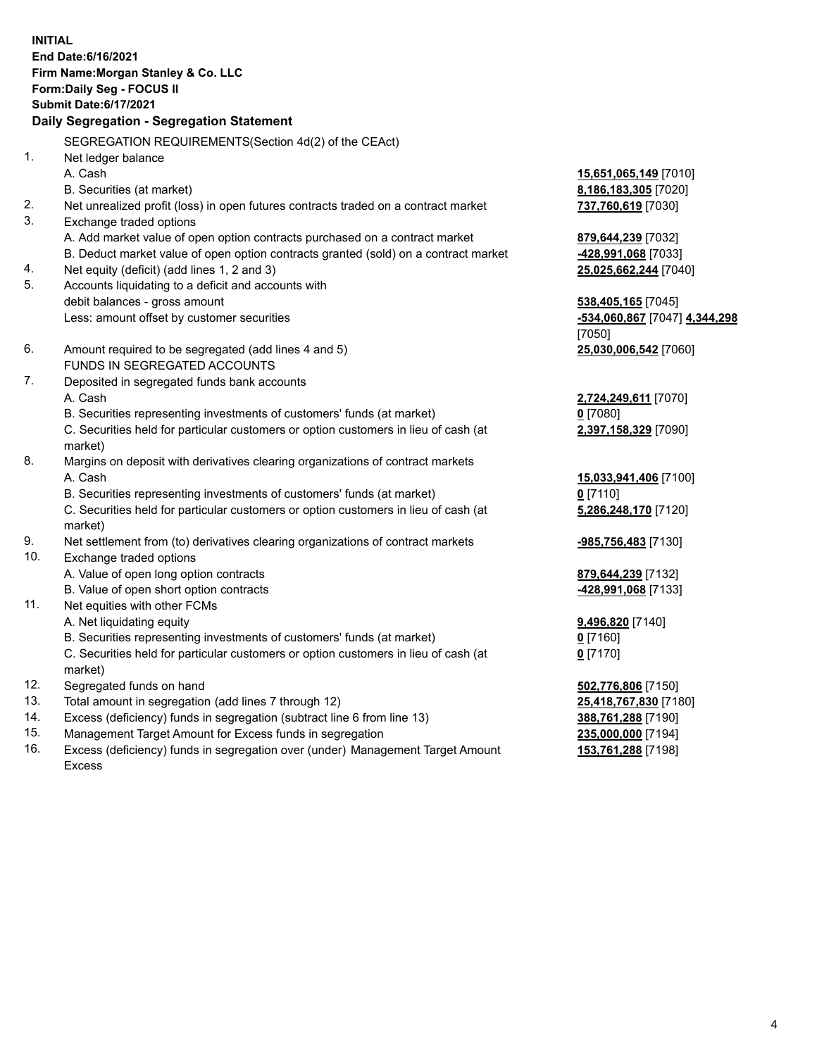**INITIAL End Date:6/16/2021 Firm Name:Morgan Stanley & Co. LLC Form:Daily Seg - FOCUS II Submit Date:6/17/2021 Daily Segregation - Segregation Statement** SEGREGATION REQUIREMENTS(Section 4d(2) of the CEAct) 1. Net ledger balance A. Cash **15,651,065,149** [7010] B. Securities (at market) **8,186,183,305** [7020] 2. Net unrealized profit (loss) in open futures contracts traded on a contract market **737,760,619** [7030] 3. Exchange traded options A. Add market value of open option contracts purchased on a contract market **879,644,239** [7032] B. Deduct market value of open option contracts granted (sold) on a contract market **-428,991,068** [7033] 4. Net equity (deficit) (add lines 1, 2 and 3) **25,025,662,244** [7040] 5. Accounts liquidating to a deficit and accounts with debit balances - gross amount **538,405,165** [7045] Less: amount offset by customer securities **-534,060,867** [7047] **4,344,298** [7050] 6. Amount required to be segregated (add lines 4 and 5) **25,030,006,542** [7060] FUNDS IN SEGREGATED ACCOUNTS 7. Deposited in segregated funds bank accounts A. Cash **2,724,249,611** [7070] B. Securities representing investments of customers' funds (at market) **0** [7080] C. Securities held for particular customers or option customers in lieu of cash (at market) **2,397,158,329** [7090] 8. Margins on deposit with derivatives clearing organizations of contract markets A. Cash **15,033,941,406** [7100] B. Securities representing investments of customers' funds (at market) **0** [7110] C. Securities held for particular customers or option customers in lieu of cash (at market) **5,286,248,170** [7120] 9. Net settlement from (to) derivatives clearing organizations of contract markets **-985,756,483** [7130] 10. Exchange traded options A. Value of open long option contracts **879,644,239** [7132] B. Value of open short option contracts **-428,991,068** [7133] 11. Net equities with other FCMs A. Net liquidating equity **9,496,820** [7140] B. Securities representing investments of customers' funds (at market) **0** [7160] C. Securities held for particular customers or option customers in lieu of cash (at market) **0** [7170] 12. Segregated funds on hand **502,776,806** [7150] 13. Total amount in segregation (add lines 7 through 12) **25,418,767,830** [7180] 14. Excess (deficiency) funds in segregation (subtract line 6 from line 13) **388,761,288** [7190] 15. Management Target Amount for Excess funds in segregation **235,000,000** [7194]

16. Excess (deficiency) funds in segregation over (under) Management Target Amount Excess

**153,761,288** [7198]